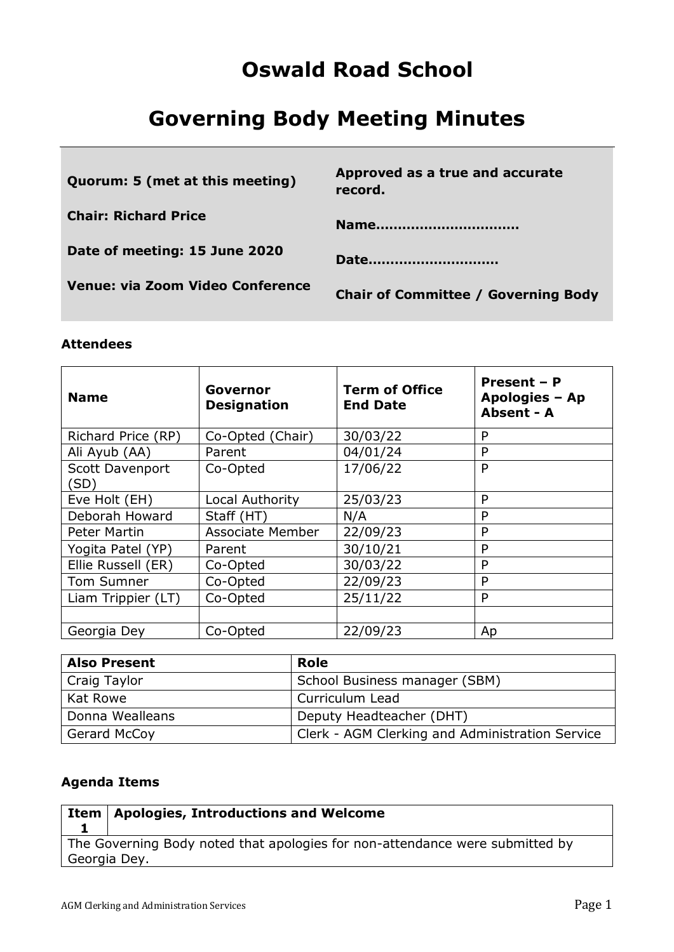## **Oswald Road School**

# **Governing Body Meeting Minutes**

| Quorum: 5 (met at this meeting)         | Approved as a true and accurate<br>record. |
|-----------------------------------------|--------------------------------------------|
| <b>Chair: Richard Price</b>             | Name                                       |
| Date of meeting: 15 June 2020           | Date                                       |
| <b>Venue: via Zoom Video Conference</b> | <b>Chair of Committee / Governing Body</b> |

### **Attendees**

| <b>Name</b>             | Governor<br><b>Designation</b> | <b>Term of Office</b><br><b>End Date</b> | Present - P<br>Apologies - Ap<br>Absent - A |
|-------------------------|--------------------------------|------------------------------------------|---------------------------------------------|
| Richard Price (RP)      | Co-Opted (Chair)               | 30/03/22                                 | P                                           |
| Ali Ayub (AA)           | Parent                         | 04/01/24                                 | P                                           |
| Scott Davenport<br>(SD) | Co-Opted                       | 17/06/22                                 | P                                           |
| Eve Holt (EH)           | Local Authority                | 25/03/23                                 | P                                           |
| Deborah Howard          | Staff (HT)                     | N/A                                      | P                                           |
| <b>Peter Martin</b>     | <b>Associate Member</b>        | 22/09/23                                 | P                                           |
| Yogita Patel (YP)       | Parent                         | 30/10/21                                 | P                                           |
| Ellie Russell (ER)      | Co-Opted                       | 30/03/22                                 | P                                           |
| Tom Sumner              | Co-Opted                       | 22/09/23                                 | P                                           |
| Liam Trippier (LT)      | Co-Opted                       | 25/11/22                                 | P                                           |
|                         |                                |                                          |                                             |
| Georgia Dey             | Co-Opted                       | 22/09/23                                 | Ap                                          |

| <b>Also Present</b> | Role                                            |
|---------------------|-------------------------------------------------|
| Craig Taylor        | School Business manager (SBM)                   |
| Kat Rowe            | Curriculum Lead                                 |
| Donna Wealleans     | Deputy Headteacher (DHT)                        |
| Gerard McCoy        | Clerk - AGM Clerking and Administration Service |

## **Agenda Items**

|              | Item   Apologies, Introductions and Welcome                                  |
|--------------|------------------------------------------------------------------------------|
|              |                                                                              |
|              | The Governing Body noted that apologies for non-attendance were submitted by |
| Georgia Dey. |                                                                              |
|              |                                                                              |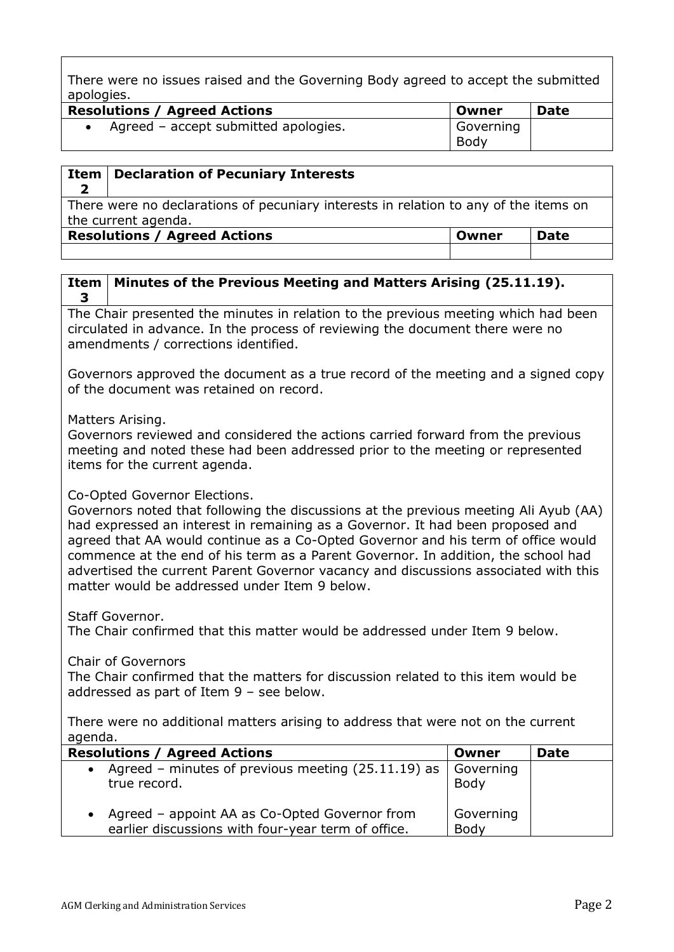There were no issues raised and the Governing Body agreed to accept the submitted apologies.

| <b>Resolutions / Agreed Actions</b>  | Owner     | <b>Date</b> |
|--------------------------------------|-----------|-------------|
| Agreed – accept submitted apologies. | Governing |             |
|                                      | Body      |             |

| Item                                                                                                        | <b>Declaration of Pecuniary Interests</b>                   |  |  |
|-------------------------------------------------------------------------------------------------------------|-------------------------------------------------------------|--|--|
| There were no declarations of pecuniary interests in relation to any of the items on<br>the current agenda. |                                                             |  |  |
|                                                                                                             | <b>Resolutions / Agreed Actions</b><br><b>Date</b><br>Owner |  |  |
|                                                                                                             |                                                             |  |  |

### **Item 3 Minutes of the Previous Meeting and Matters Arising (25.11.19).**

The Chair presented the minutes in relation to the previous meeting which had been circulated in advance. In the process of reviewing the document there were no amendments / corrections identified.

Governors approved the document as a true record of the meeting and a signed copy of the document was retained on record.

Matters Arising.

Governors reviewed and considered the actions carried forward from the previous meeting and noted these had been addressed prior to the meeting or represented items for the current agenda.

### Co-Opted Governor Elections.

Governors noted that following the discussions at the previous meeting Ali Ayub (AA) had expressed an interest in remaining as a Governor. It had been proposed and agreed that AA would continue as a Co-Opted Governor and his term of office would commence at the end of his term as a Parent Governor. In addition, the school had advertised the current Parent Governor vacancy and discussions associated with this matter would be addressed under Item 9 below.

Staff Governor.

The Chair confirmed that this matter would be addressed under Item 9 below.

Chair of Governors

The Chair confirmed that the matters for discussion related to this item would be addressed as part of Item 9 – see below.

There were no additional matters arising to address that were not on the current agenda.

| <b>Resolutions / Agreed Actions</b>                                                                              | Owner             | <b>Date</b> |
|------------------------------------------------------------------------------------------------------------------|-------------------|-------------|
| Agreed – minutes of previous meeting $(25.11.19)$ as<br>$\bullet$<br>true record.                                | Governing<br>Body |             |
| Agreed - appoint AA as Co-Opted Governor from<br>$\bullet$<br>earlier discussions with four-year term of office. | Governing<br>Body |             |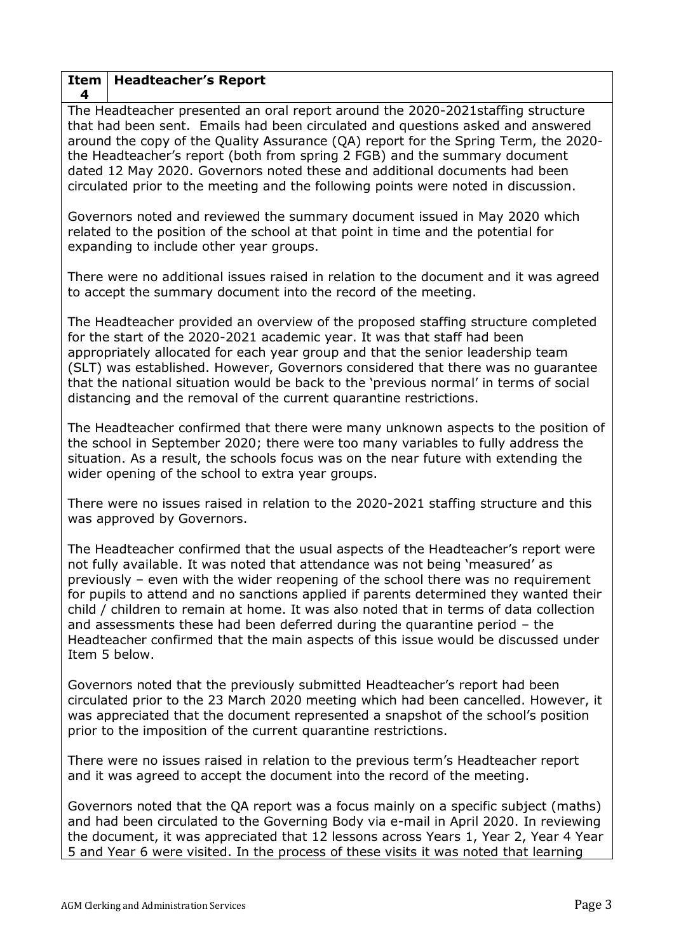### **Item 4 Headteacher's Report**

The Headteacher presented an oral report around the 2020-2021staffing structure that had been sent. Emails had been circulated and questions asked and answered around the copy of the Quality Assurance (QA) report for the Spring Term, the 2020 the Headteacher's report (both from spring 2 FGB) and the summary document dated 12 May 2020. Governors noted these and additional documents had been circulated prior to the meeting and the following points were noted in discussion.

Governors noted and reviewed the summary document issued in May 2020 which related to the position of the school at that point in time and the potential for expanding to include other year groups.

There were no additional issues raised in relation to the document and it was agreed to accept the summary document into the record of the meeting.

The Headteacher provided an overview of the proposed staffing structure completed for the start of the 2020-2021 academic year. It was that staff had been appropriately allocated for each year group and that the senior leadership team (SLT) was established. However, Governors considered that there was no guarantee that the national situation would be back to the 'previous normal' in terms of social distancing and the removal of the current quarantine restrictions.

The Headteacher confirmed that there were many unknown aspects to the position of the school in September 2020; there were too many variables to fully address the situation. As a result, the schools focus was on the near future with extending the wider opening of the school to extra year groups.

There were no issues raised in relation to the 2020-2021 staffing structure and this was approved by Governors.

The Headteacher confirmed that the usual aspects of the Headteacher's report were not fully available. It was noted that attendance was not being 'measured' as previously – even with the wider reopening of the school there was no requirement for pupils to attend and no sanctions applied if parents determined they wanted their child / children to remain at home. It was also noted that in terms of data collection and assessments these had been deferred during the quarantine period – the Headteacher confirmed that the main aspects of this issue would be discussed under Item 5 below.

Governors noted that the previously submitted Headteacher's report had been circulated prior to the 23 March 2020 meeting which had been cancelled. However, it was appreciated that the document represented a snapshot of the school's position prior to the imposition of the current quarantine restrictions.

There were no issues raised in relation to the previous term's Headteacher report and it was agreed to accept the document into the record of the meeting.

Governors noted that the QA report was a focus mainly on a specific subject (maths) and had been circulated to the Governing Body via e-mail in April 2020. In reviewing the document, it was appreciated that 12 lessons across Years 1, Year 2, Year 4 Year 5 and Year 6 were visited. In the process of these visits it was noted that learning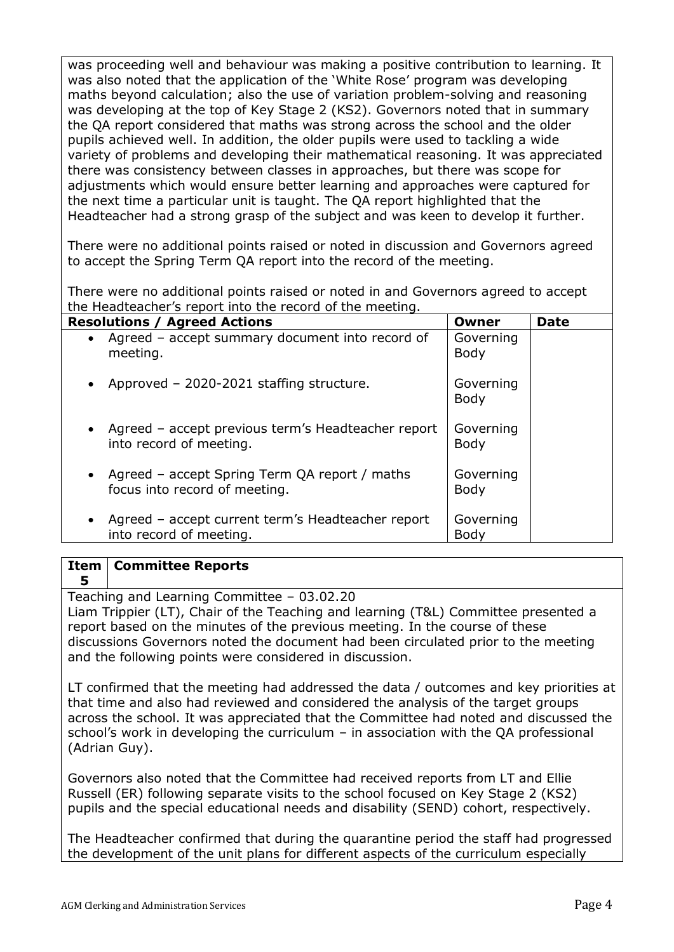was proceeding well and behaviour was making a positive contribution to learning. It was also noted that the application of the 'White Rose' program was developing maths beyond calculation; also the use of variation problem-solving and reasoning was developing at the top of Key Stage 2 (KS2). Governors noted that in summary the QA report considered that maths was strong across the school and the older pupils achieved well. In addition, the older pupils were used to tackling a wide variety of problems and developing their mathematical reasoning. It was appreciated there was consistency between classes in approaches, but there was scope for adjustments which would ensure better learning and approaches were captured for the next time a particular unit is taught. The QA report highlighted that the Headteacher had a strong grasp of the subject and was keen to develop it further.

There were no additional points raised or noted in discussion and Governors agreed to accept the Spring Term QA report into the record of the meeting.

There were no additional points raised or noted in and Governors agreed to accept the Headteacher's report into the record of the meeting.

| <b>Resolutions / Agreed Actions</b>                                              | Owner                    | <b>Date</b> |
|----------------------------------------------------------------------------------|--------------------------|-------------|
| • Agreed - accept summary document into record of<br>meeting.                    | Governing<br><b>Body</b> |             |
| • Approved - 2020-2021 staffing structure.                                       | Governing<br><b>Body</b> |             |
| • Agreed - accept previous term's Headteacher report<br>into record of meeting.  | Governing<br>Body        |             |
| • Agreed – accept Spring Term QA report / maths<br>focus into record of meeting. | Governing<br><b>Body</b> |             |
| • Agreed - accept current term's Headteacher report<br>into record of meeting.   | Governing<br>Body        |             |

### **Item 5 Committee Reports**

Teaching and Learning Committee – 03.02.20 Liam Trippier (LT), Chair of the Teaching and learning (T&L) Committee presented a report based on the minutes of the previous meeting. In the course of these discussions Governors noted the document had been circulated prior to the meeting and the following points were considered in discussion.

LT confirmed that the meeting had addressed the data / outcomes and key priorities at that time and also had reviewed and considered the analysis of the target groups across the school. It was appreciated that the Committee had noted and discussed the school's work in developing the curriculum – in association with the QA professional (Adrian Guy).

Governors also noted that the Committee had received reports from LT and Ellie Russell (ER) following separate visits to the school focused on Key Stage 2 (KS2) pupils and the special educational needs and disability (SEND) cohort, respectively.

The Headteacher confirmed that during the quarantine period the staff had progressed the development of the unit plans for different aspects of the curriculum especially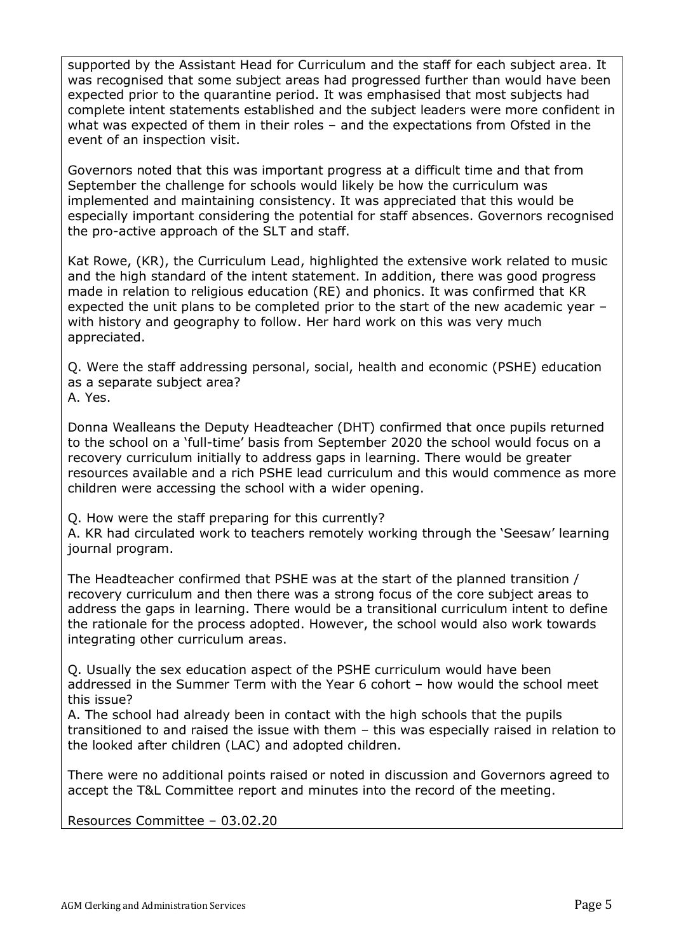supported by the Assistant Head for Curriculum and the staff for each subject area. It was recognised that some subject areas had progressed further than would have been expected prior to the quarantine period. It was emphasised that most subjects had complete intent statements established and the subject leaders were more confident in what was expected of them in their roles – and the expectations from Ofsted in the event of an inspection visit.

Governors noted that this was important progress at a difficult time and that from September the challenge for schools would likely be how the curriculum was implemented and maintaining consistency. It was appreciated that this would be especially important considering the potential for staff absences. Governors recognised the pro-active approach of the SLT and staff.

Kat Rowe, (KR), the Curriculum Lead, highlighted the extensive work related to music and the high standard of the intent statement. In addition, there was good progress made in relation to religious education (RE) and phonics. It was confirmed that KR expected the unit plans to be completed prior to the start of the new academic year – with history and geography to follow. Her hard work on this was very much appreciated.

Q. Were the staff addressing personal, social, health and economic (PSHE) education as a separate subject area? A. Yes.

Donna Wealleans the Deputy Headteacher (DHT) confirmed that once pupils returned to the school on a 'full-time' basis from September 2020 the school would focus on a recovery curriculum initially to address gaps in learning. There would be greater resources available and a rich PSHE lead curriculum and this would commence as more children were accessing the school with a wider opening.

Q. How were the staff preparing for this currently?

A. KR had circulated work to teachers remotely working through the 'Seesaw' learning journal program.

The Headteacher confirmed that PSHE was at the start of the planned transition / recovery curriculum and then there was a strong focus of the core subject areas to address the gaps in learning. There would be a transitional curriculum intent to define the rationale for the process adopted. However, the school would also work towards integrating other curriculum areas.

Q. Usually the sex education aspect of the PSHE curriculum would have been addressed in the Summer Term with the Year 6 cohort – how would the school meet this issue?

A. The school had already been in contact with the high schools that the pupils transitioned to and raised the issue with them – this was especially raised in relation to the looked after children (LAC) and adopted children.

There were no additional points raised or noted in discussion and Governors agreed to accept the T&L Committee report and minutes into the record of the meeting.

Resources Committee – 03.02.20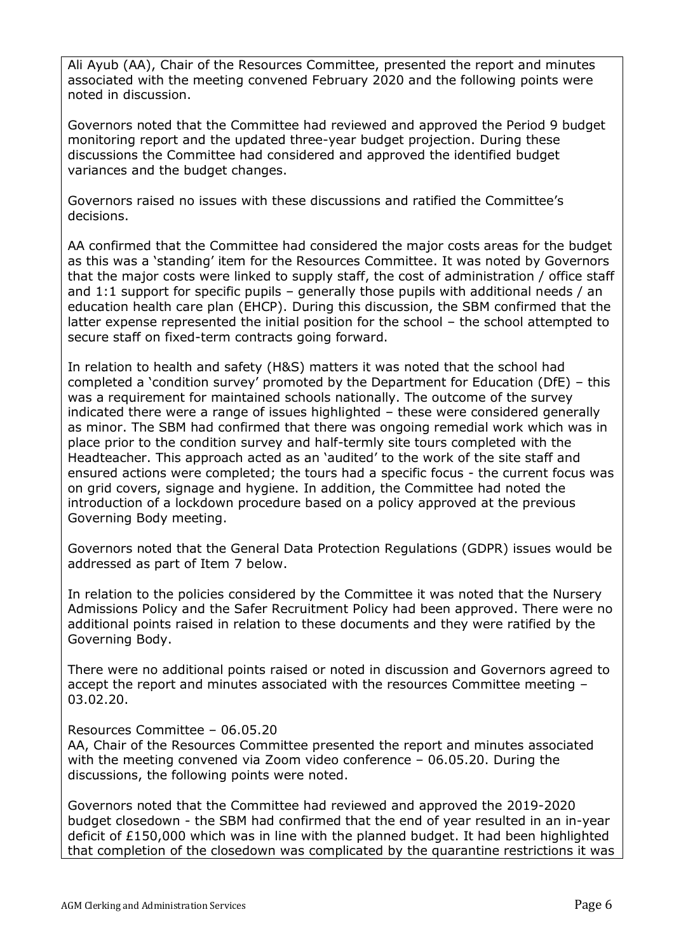Ali Ayub (AA), Chair of the Resources Committee, presented the report and minutes associated with the meeting convened February 2020 and the following points were noted in discussion.

Governors noted that the Committee had reviewed and approved the Period 9 budget monitoring report and the updated three-year budget projection. During these discussions the Committee had considered and approved the identified budget variances and the budget changes.

Governors raised no issues with these discussions and ratified the Committee's decisions.

AA confirmed that the Committee had considered the major costs areas for the budget as this was a 'standing' item for the Resources Committee. It was noted by Governors that the major costs were linked to supply staff, the cost of administration / office staff and 1:1 support for specific pupils – generally those pupils with additional needs / an education health care plan (EHCP). During this discussion, the SBM confirmed that the latter expense represented the initial position for the school – the school attempted to secure staff on fixed-term contracts going forward.

In relation to health and safety (H&S) matters it was noted that the school had completed a 'condition survey' promoted by the Department for Education (DfE) – this was a requirement for maintained schools nationally. The outcome of the survey indicated there were a range of issues highlighted – these were considered generally as minor. The SBM had confirmed that there was ongoing remedial work which was in place prior to the condition survey and half-termly site tours completed with the Headteacher. This approach acted as an 'audited' to the work of the site staff and ensured actions were completed; the tours had a specific focus - the current focus was on grid covers, signage and hygiene. In addition, the Committee had noted the introduction of a lockdown procedure based on a policy approved at the previous Governing Body meeting.

Governors noted that the General Data Protection Regulations (GDPR) issues would be addressed as part of Item 7 below.

In relation to the policies considered by the Committee it was noted that the Nursery Admissions Policy and the Safer Recruitment Policy had been approved. There were no additional points raised in relation to these documents and they were ratified by the Governing Body.

There were no additional points raised or noted in discussion and Governors agreed to accept the report and minutes associated with the resources Committee meeting – 03.02.20.

### Resources Committee – 06.05.20

AA, Chair of the Resources Committee presented the report and minutes associated with the meeting convened via Zoom video conference – 06.05.20. During the discussions, the following points were noted.

Governors noted that the Committee had reviewed and approved the 2019-2020 budget closedown - the SBM had confirmed that the end of year resulted in an in-year deficit of £150,000 which was in line with the planned budget. It had been highlighted that completion of the closedown was complicated by the quarantine restrictions it was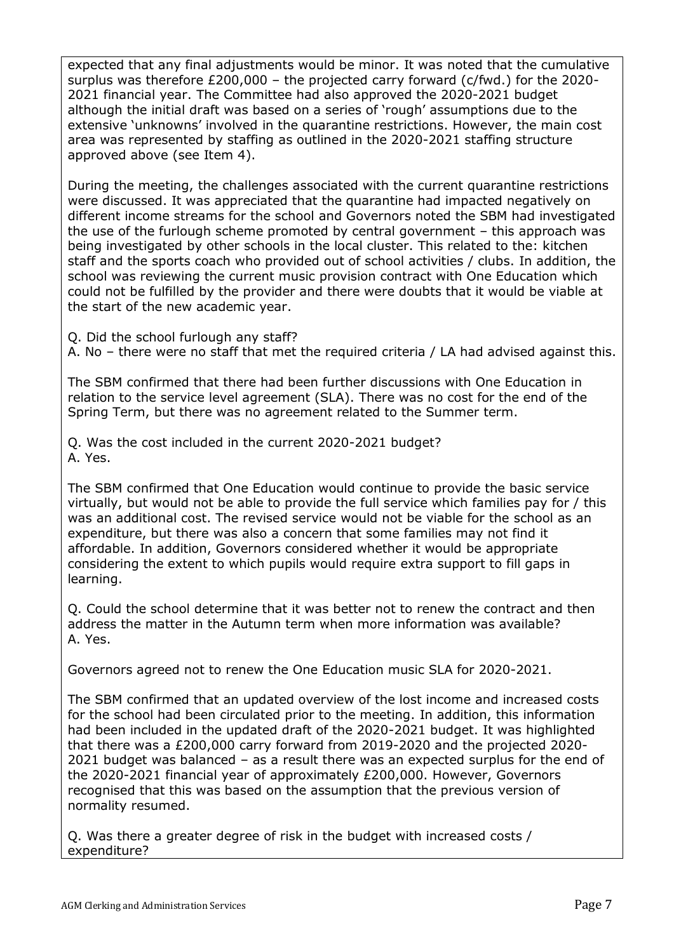expected that any final adjustments would be minor. It was noted that the cumulative surplus was therefore £200,000 – the projected carry forward (c/fwd.) for the 2020- 2021 financial year. The Committee had also approved the 2020-2021 budget although the initial draft was based on a series of 'rough' assumptions due to the extensive 'unknowns' involved in the quarantine restrictions. However, the main cost area was represented by staffing as outlined in the 2020-2021 staffing structure approved above (see Item 4).

During the meeting, the challenges associated with the current quarantine restrictions were discussed. It was appreciated that the quarantine had impacted negatively on different income streams for the school and Governors noted the SBM had investigated the use of the furlough scheme promoted by central government – this approach was being investigated by other schools in the local cluster. This related to the: kitchen staff and the sports coach who provided out of school activities / clubs. In addition, the school was reviewing the current music provision contract with One Education which could not be fulfilled by the provider and there were doubts that it would be viable at the start of the new academic year.

Q. Did the school furlough any staff?

A. No – there were no staff that met the required criteria / LA had advised against this.

The SBM confirmed that there had been further discussions with One Education in relation to the service level agreement (SLA). There was no cost for the end of the Spring Term, but there was no agreement related to the Summer term.

Q. Was the cost included in the current 2020-2021 budget? A. Yes.

The SBM confirmed that One Education would continue to provide the basic service virtually, but would not be able to provide the full service which families pay for / this was an additional cost. The revised service would not be viable for the school as an expenditure, but there was also a concern that some families may not find it affordable. In addition, Governors considered whether it would be appropriate considering the extent to which pupils would require extra support to fill gaps in learning.

Q. Could the school determine that it was better not to renew the contract and then address the matter in the Autumn term when more information was available? A. Yes.

Governors agreed not to renew the One Education music SLA for 2020-2021.

The SBM confirmed that an updated overview of the lost income and increased costs for the school had been circulated prior to the meeting. In addition, this information had been included in the updated draft of the 2020-2021 budget. It was highlighted that there was a £200,000 carry forward from 2019-2020 and the projected 2020- 2021 budget was balanced – as a result there was an expected surplus for the end of the 2020-2021 financial year of approximately £200,000. However, Governors recognised that this was based on the assumption that the previous version of normality resumed.

Q. Was there a greater degree of risk in the budget with increased costs / expenditure?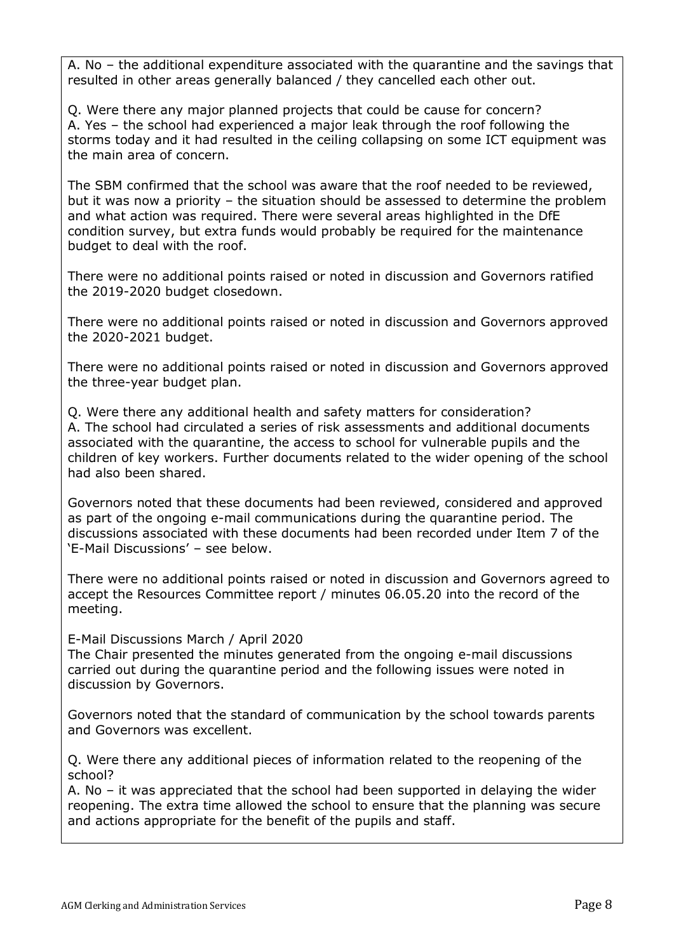A. No – the additional expenditure associated with the quarantine and the savings that resulted in other areas generally balanced / they cancelled each other out.

Q. Were there any major planned projects that could be cause for concern? A. Yes – the school had experienced a major leak through the roof following the storms today and it had resulted in the ceiling collapsing on some ICT equipment was the main area of concern.

The SBM confirmed that the school was aware that the roof needed to be reviewed, but it was now a priority – the situation should be assessed to determine the problem and what action was required. There were several areas highlighted in the DfE condition survey, but extra funds would probably be required for the maintenance budget to deal with the roof.

There were no additional points raised or noted in discussion and Governors ratified the 2019-2020 budget closedown.

There were no additional points raised or noted in discussion and Governors approved the 2020-2021 budget.

There were no additional points raised or noted in discussion and Governors approved the three-year budget plan.

Q. Were there any additional health and safety matters for consideration? A. The school had circulated a series of risk assessments and additional documents associated with the quarantine, the access to school for vulnerable pupils and the children of key workers. Further documents related to the wider opening of the school had also been shared.

Governors noted that these documents had been reviewed, considered and approved as part of the ongoing e-mail communications during the quarantine period. The discussions associated with these documents had been recorded under Item 7 of the 'E-Mail Discussions' – see below.

There were no additional points raised or noted in discussion and Governors agreed to accept the Resources Committee report / minutes 06.05.20 into the record of the meeting.

E-Mail Discussions March / April 2020

The Chair presented the minutes generated from the ongoing e-mail discussions carried out during the quarantine period and the following issues were noted in discussion by Governors.

Governors noted that the standard of communication by the school towards parents and Governors was excellent.

Q. Were there any additional pieces of information related to the reopening of the school?

A. No – it was appreciated that the school had been supported in delaying the wider reopening. The extra time allowed the school to ensure that the planning was secure and actions appropriate for the benefit of the pupils and staff.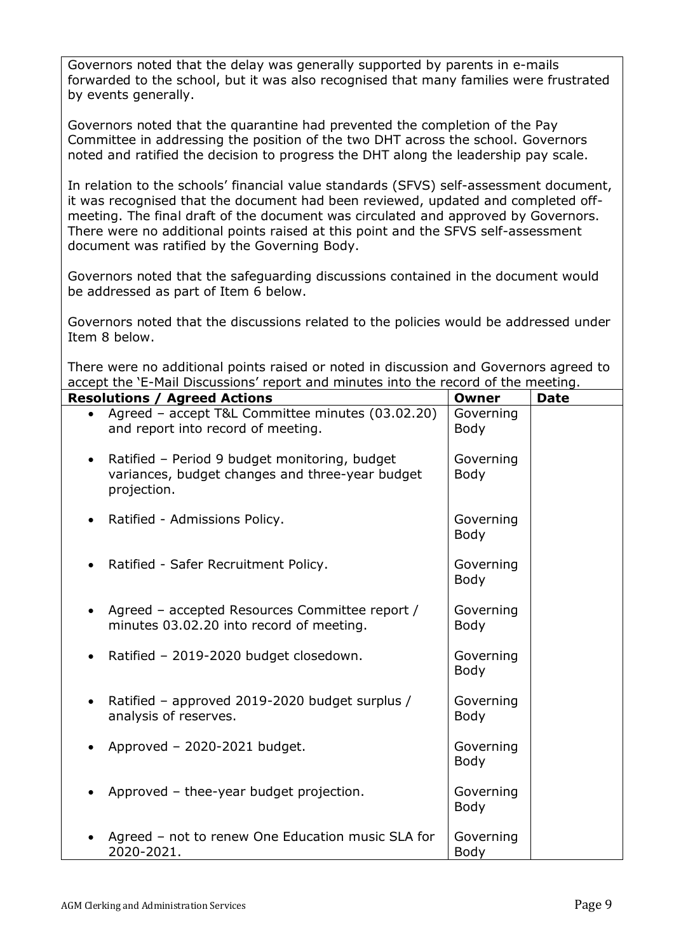Governors noted that the delay was generally supported by parents in e-mails forwarded to the school, but it was also recognised that many families were frustrated by events generally.

Governors noted that the quarantine had prevented the completion of the Pay Committee in addressing the position of the two DHT across the school. Governors noted and ratified the decision to progress the DHT along the leadership pay scale.

In relation to the schools' financial value standards (SFVS) self-assessment document, it was recognised that the document had been reviewed, updated and completed offmeeting. The final draft of the document was circulated and approved by Governors. There were no additional points raised at this point and the SFVS self-assessment document was ratified by the Governing Body.

Governors noted that the safeguarding discussions contained in the document would be addressed as part of Item 6 below.

Governors noted that the discussions related to the policies would be addressed under Item 8 below.

There were no additional points raised or noted in discussion and Governors agreed to accept the 'E-Mail Discussions' report and minutes into the record of the meeting.

| <b>Resolutions / Agreed Actions</b>                                                                                          | Owner                    | <b>Date</b> |
|------------------------------------------------------------------------------------------------------------------------------|--------------------------|-------------|
| Agreed - accept T&L Committee minutes (03.02.20)<br>and report into record of meeting.                                       | Governing<br><b>Body</b> |             |
| Ratified - Period 9 budget monitoring, budget<br>$\bullet$<br>variances, budget changes and three-year budget<br>projection. | Governing<br><b>Body</b> |             |
| Ratified - Admissions Policy.<br>$\bullet$                                                                                   | Governing<br><b>Body</b> |             |
| Ratified - Safer Recruitment Policy.                                                                                         | Governing<br><b>Body</b> |             |
| Agreed - accepted Resources Committee report /<br>minutes 03.02.20 into record of meeting.                                   | Governing<br><b>Body</b> |             |
| Ratified - 2019-2020 budget closedown.                                                                                       | Governing<br><b>Body</b> |             |
| Ratified - approved 2019-2020 budget surplus /<br>analysis of reserves.                                                      | Governing<br><b>Body</b> |             |
| Approved - 2020-2021 budget.                                                                                                 | Governing<br><b>Body</b> |             |
| Approved - thee-year budget projection.                                                                                      | Governing<br><b>Body</b> |             |
| Agreed - not to renew One Education music SLA for<br>2020-2021.                                                              | Governing<br>Body        |             |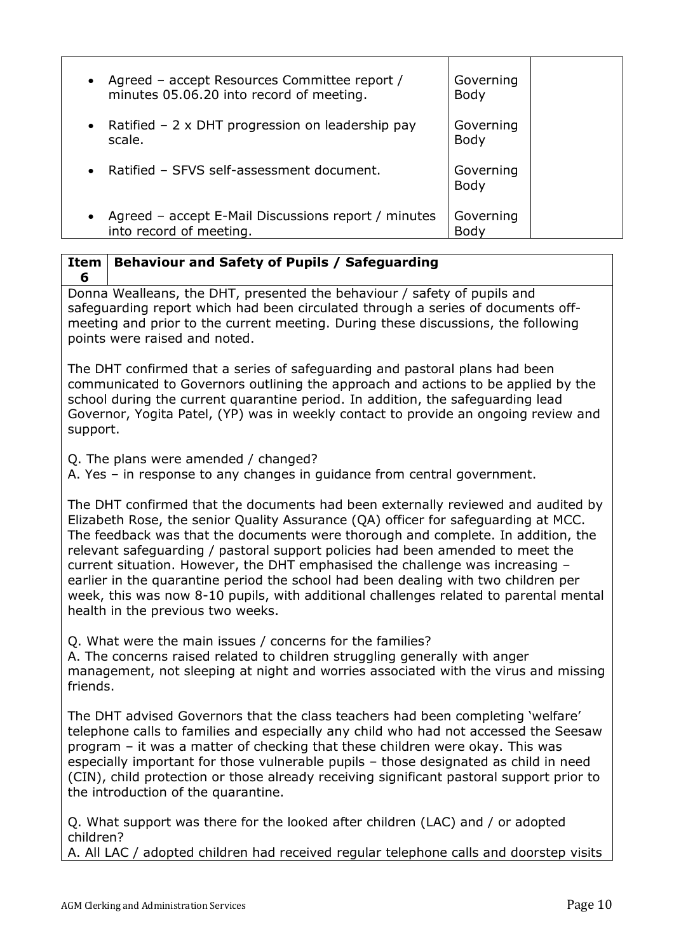| • Agreed – accept Resources Committee report /<br>minutes 05.06.20 into record of meeting. | Governing<br><b>Body</b> |
|--------------------------------------------------------------------------------------------|--------------------------|
| Ratified $-2 \times$ DHT progression on leadership pay<br>scale.                           | Governing<br><b>Body</b> |
| • Ratified - SFVS self-assessment document.                                                | Governing<br><b>Body</b> |
| Agreed - accept E-Mail Discussions report / minutes<br>into record of meeting.             | Governing<br>Body        |

### **Item 6 Behaviour and Safety of Pupils / Safeguarding**

Donna Wealleans, the DHT, presented the behaviour / safety of pupils and safeguarding report which had been circulated through a series of documents offmeeting and prior to the current meeting. During these discussions, the following points were raised and noted.

The DHT confirmed that a series of safeguarding and pastoral plans had been communicated to Governors outlining the approach and actions to be applied by the school during the current quarantine period. In addition, the safeguarding lead Governor, Yogita Patel, (YP) was in weekly contact to provide an ongoing review and support.

Q. The plans were amended / changed?

A. Yes – in response to any changes in guidance from central government.

The DHT confirmed that the documents had been externally reviewed and audited by Elizabeth Rose, the senior Quality Assurance (QA) officer for safeguarding at MCC. The feedback was that the documents were thorough and complete. In addition, the relevant safeguarding / pastoral support policies had been amended to meet the current situation. However, the DHT emphasised the challenge was increasing – earlier in the quarantine period the school had been dealing with two children per week, this was now 8-10 pupils, with additional challenges related to parental mental health in the previous two weeks.

Q. What were the main issues / concerns for the families?

A. The concerns raised related to children struggling generally with anger management, not sleeping at night and worries associated with the virus and missing friends.

The DHT advised Governors that the class teachers had been completing 'welfare' telephone calls to families and especially any child who had not accessed the Seesaw program – it was a matter of checking that these children were okay. This was especially important for those vulnerable pupils – those designated as child in need (CIN), child protection or those already receiving significant pastoral support prior to the introduction of the quarantine.

Q. What support was there for the looked after children (LAC) and / or adopted children?

A. All LAC / adopted children had received regular telephone calls and doorstep visits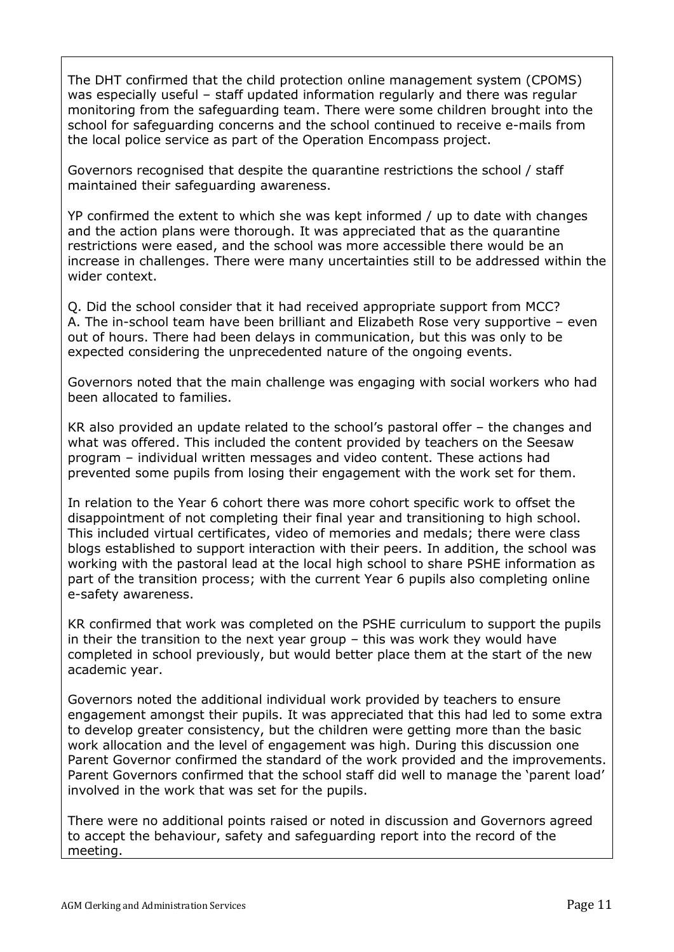The DHT confirmed that the child protection online management system (CPOMS) was especially useful – staff updated information regularly and there was regular monitoring from the safeguarding team. There were some children brought into the school for safeguarding concerns and the school continued to receive e-mails from the local police service as part of the Operation Encompass project.

Governors recognised that despite the quarantine restrictions the school / staff maintained their safeguarding awareness.

YP confirmed the extent to which she was kept informed / up to date with changes and the action plans were thorough. It was appreciated that as the quarantine restrictions were eased, and the school was more accessible there would be an increase in challenges. There were many uncertainties still to be addressed within the wider context.

Q. Did the school consider that it had received appropriate support from MCC? A. The in-school team have been brilliant and Elizabeth Rose very supportive – even out of hours. There had been delays in communication, but this was only to be expected considering the unprecedented nature of the ongoing events.

Governors noted that the main challenge was engaging with social workers who had been allocated to families.

KR also provided an update related to the school's pastoral offer – the changes and what was offered. This included the content provided by teachers on the Seesaw program – individual written messages and video content. These actions had prevented some pupils from losing their engagement with the work set for them.

In relation to the Year 6 cohort there was more cohort specific work to offset the disappointment of not completing their final year and transitioning to high school. This included virtual certificates, video of memories and medals; there were class blogs established to support interaction with their peers. In addition, the school was working with the pastoral lead at the local high school to share PSHE information as part of the transition process; with the current Year 6 pupils also completing online e-safety awareness.

KR confirmed that work was completed on the PSHE curriculum to support the pupils in their the transition to the next year group – this was work they would have completed in school previously, but would better place them at the start of the new academic year.

Governors noted the additional individual work provided by teachers to ensure engagement amongst their pupils. It was appreciated that this had led to some extra to develop greater consistency, but the children were getting more than the basic work allocation and the level of engagement was high. During this discussion one Parent Governor confirmed the standard of the work provided and the improvements. Parent Governors confirmed that the school staff did well to manage the 'parent load' involved in the work that was set for the pupils.

There were no additional points raised or noted in discussion and Governors agreed to accept the behaviour, safety and safeguarding report into the record of the meeting.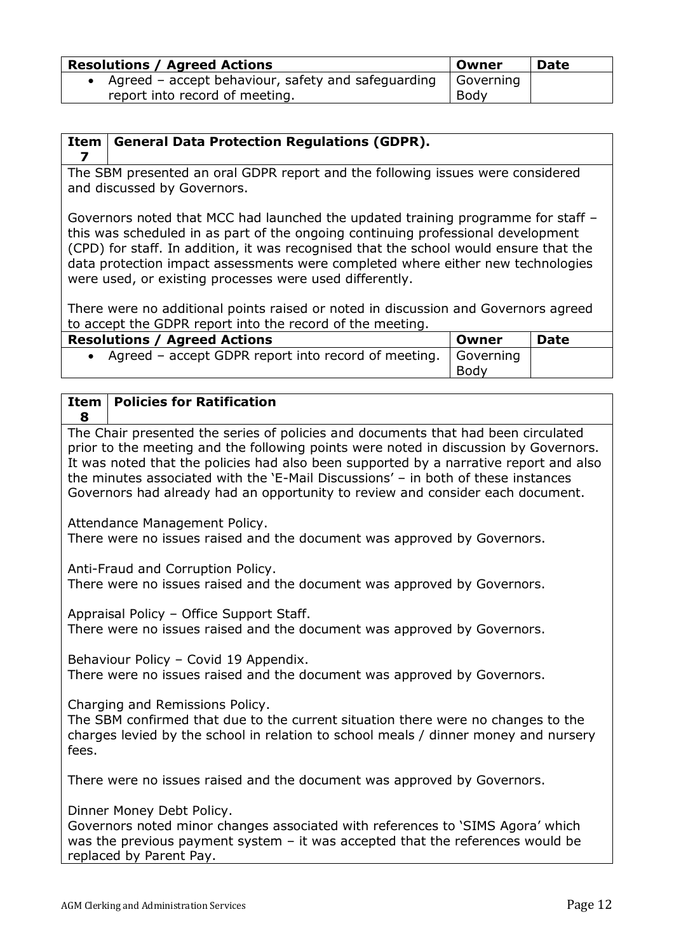| <b>Resolutions / Agreed Actions</b>                  | . Owner   | <b>Date</b> |
|------------------------------------------------------|-----------|-------------|
| • Agreed - accept behaviour, safety and safeguarding | Governing |             |
| report into record of meeting.                       | Body      |             |

#### **Item General Data Protection Regulations (GDPR).**

**7**

The SBM presented an oral GDPR report and the following issues were considered and discussed by Governors.

Governors noted that MCC had launched the updated training programme for staff – this was scheduled in as part of the ongoing continuing professional development (CPD) for staff. In addition, it was recognised that the school would ensure that the data protection impact assessments were completed where either new technologies were used, or existing processes were used differently.

There were no additional points raised or noted in discussion and Governors agreed to accept the GDPR report into the record of the meeting.

| <b>Resolutions / Agreed Actions</b>                               | Owner | <b>Date</b> |
|-------------------------------------------------------------------|-------|-------------|
| • Agreed – accept GDPR report into record of meeting.   Governing |       |             |
|                                                                   | Body  |             |

#### **Item 8 Policies for Ratification**

The Chair presented the series of policies and documents that had been circulated prior to the meeting and the following points were noted in discussion by Governors. It was noted that the policies had also been supported by a narrative report and also the minutes associated with the 'E-Mail Discussions' – in both of these instances Governors had already had an opportunity to review and consider each document.

Attendance Management Policy. There were no issues raised and the document was approved by Governors.

Anti-Fraud and Corruption Policy.

There were no issues raised and the document was approved by Governors.

Appraisal Policy – Office Support Staff. There were no issues raised and the document was approved by Governors.

Behaviour Policy – Covid 19 Appendix. There were no issues raised and the document was approved by Governors.

Charging and Remissions Policy.

The SBM confirmed that due to the current situation there were no changes to the charges levied by the school in relation to school meals / dinner money and nursery fees.

There were no issues raised and the document was approved by Governors.

Dinner Money Debt Policy.

Governors noted minor changes associated with references to 'SIMS Agora' which was the previous payment system – it was accepted that the references would be replaced by Parent Pay.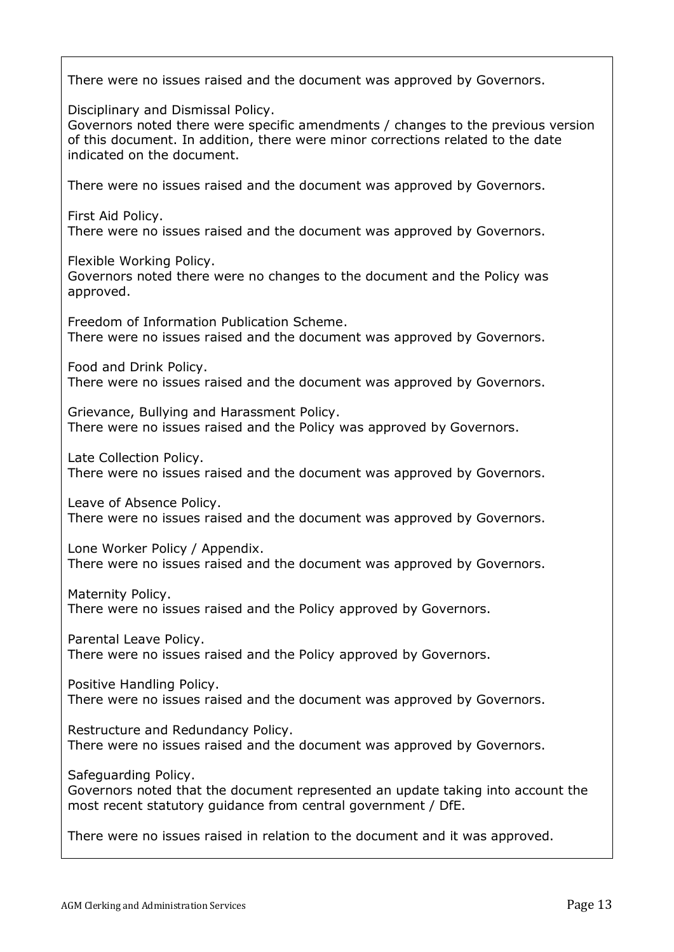There were no issues raised and the document was approved by Governors. Disciplinary and Dismissal Policy. Governors noted there were specific amendments / changes to the previous version of this document. In addition, there were minor corrections related to the date indicated on the document. There were no issues raised and the document was approved by Governors. First Aid Policy. There were no issues raised and the document was approved by Governors. Flexible Working Policy. Governors noted there were no changes to the document and the Policy was approved. Freedom of Information Publication Scheme. There were no issues raised and the document was approved by Governors. Food and Drink Policy. There were no issues raised and the document was approved by Governors. Grievance, Bullying and Harassment Policy. There were no issues raised and the Policy was approved by Governors. Late Collection Policy. There were no issues raised and the document was approved by Governors. Leave of Absence Policy. There were no issues raised and the document was approved by Governors. Lone Worker Policy / Appendix. There were no issues raised and the document was approved by Governors. Maternity Policy. There were no issues raised and the Policy approved by Governors. Parental Leave Policy. There were no issues raised and the Policy approved by Governors. Positive Handling Policy. There were no issues raised and the document was approved by Governors. Restructure and Redundancy Policy. There were no issues raised and the document was approved by Governors. Safeguarding Policy. Governors noted that the document represented an update taking into account the most recent statutory guidance from central government / DfE. There were no issues raised in relation to the document and it was approved.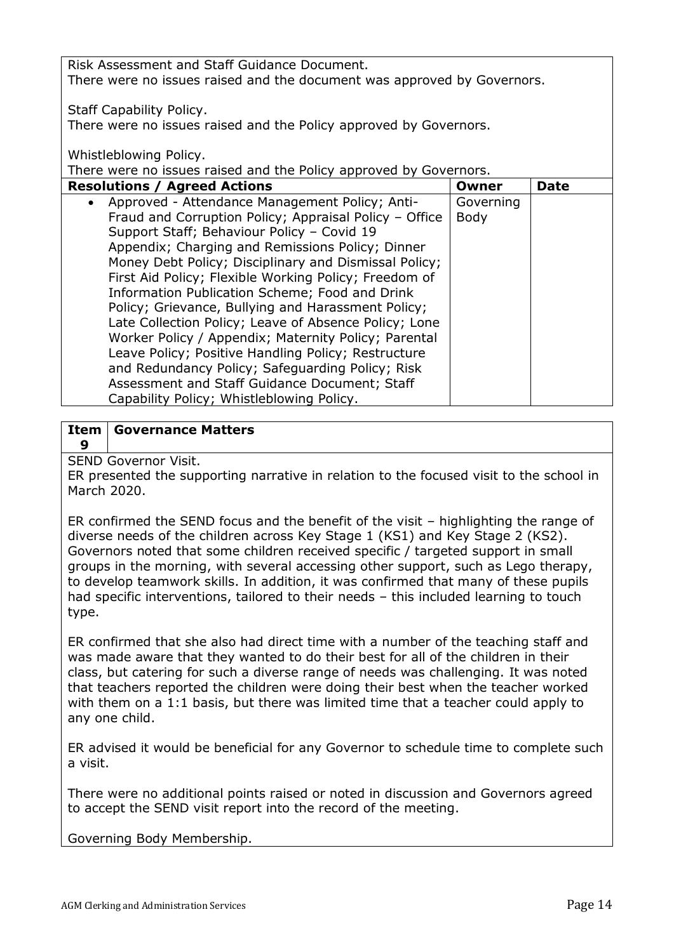Risk Assessment and Staff Guidance Document. There were no issues raised and the document was approved by Governors.

Staff Capability Policy.

There were no issues raised and the Policy approved by Governors.

Whistleblowing Policy.

There were no issues raised and the Policy approved by Governors.

| <b>Resolutions / Agreed Actions</b> |                                                        | Owner     | Date |
|-------------------------------------|--------------------------------------------------------|-----------|------|
|                                     | Approved - Attendance Management Policy; Anti-         | Governing |      |
|                                     | Fraud and Corruption Policy; Appraisal Policy - Office | Body      |      |
|                                     | Support Staff; Behaviour Policy - Covid 19             |           |      |
|                                     | Appendix; Charging and Remissions Policy; Dinner       |           |      |
|                                     | Money Debt Policy; Disciplinary and Dismissal Policy;  |           |      |
|                                     | First Aid Policy; Flexible Working Policy; Freedom of  |           |      |
|                                     | Information Publication Scheme; Food and Drink         |           |      |
|                                     | Policy; Grievance, Bullying and Harassment Policy;     |           |      |
|                                     | Late Collection Policy; Leave of Absence Policy; Lone  |           |      |
|                                     | Worker Policy / Appendix; Maternity Policy; Parental   |           |      |
|                                     | Leave Policy; Positive Handling Policy; Restructure    |           |      |
|                                     | and Redundancy Policy; Safeguarding Policy; Risk       |           |      |
|                                     | Assessment and Staff Guidance Document; Staff          |           |      |
|                                     | Capability Policy; Whistleblowing Policy.              |           |      |

### **Item 9 Governance Matters**

SEND Governor Visit.

ER presented the supporting narrative in relation to the focused visit to the school in March 2020.

ER confirmed the SEND focus and the benefit of the visit – highlighting the range of diverse needs of the children across Key Stage 1 (KS1) and Key Stage 2 (KS2). Governors noted that some children received specific / targeted support in small groups in the morning, with several accessing other support, such as Lego therapy, to develop teamwork skills. In addition, it was confirmed that many of these pupils had specific interventions, tailored to their needs – this included learning to touch type.

ER confirmed that she also had direct time with a number of the teaching staff and was made aware that they wanted to do their best for all of the children in their class, but catering for such a diverse range of needs was challenging. It was noted that teachers reported the children were doing their best when the teacher worked with them on a 1:1 basis, but there was limited time that a teacher could apply to any one child.

ER advised it would be beneficial for any Governor to schedule time to complete such a visit.

There were no additional points raised or noted in discussion and Governors agreed to accept the SEND visit report into the record of the meeting.

Governing Body Membership.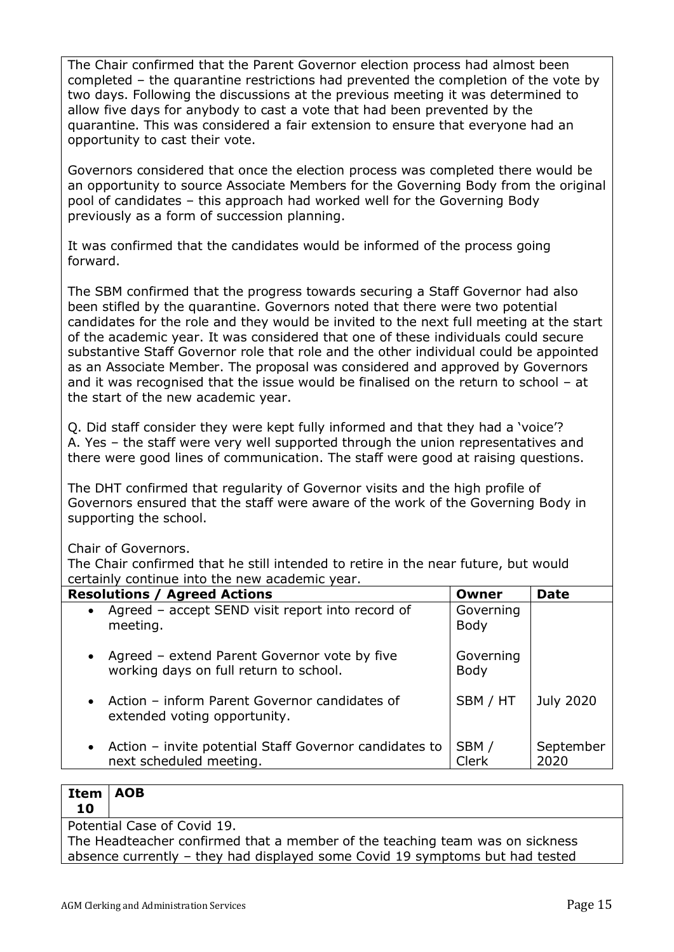The Chair confirmed that the Parent Governor election process had almost been completed – the quarantine restrictions had prevented the completion of the vote by two days. Following the discussions at the previous meeting it was determined to allow five days for anybody to cast a vote that had been prevented by the quarantine. This was considered a fair extension to ensure that everyone had an opportunity to cast their vote.

Governors considered that once the election process was completed there would be an opportunity to source Associate Members for the Governing Body from the original pool of candidates – this approach had worked well for the Governing Body previously as a form of succession planning.

It was confirmed that the candidates would be informed of the process going forward.

The SBM confirmed that the progress towards securing a Staff Governor had also been stifled by the quarantine. Governors noted that there were two potential candidates for the role and they would be invited to the next full meeting at the start of the academic year. It was considered that one of these individuals could secure substantive Staff Governor role that role and the other individual could be appointed as an Associate Member. The proposal was considered and approved by Governors and it was recognised that the issue would be finalised on the return to school – at the start of the new academic year.

Q. Did staff consider they were kept fully informed and that they had a 'voice'? A. Yes – the staff were very well supported through the union representatives and there were good lines of communication. The staff were good at raising questions.

The DHT confirmed that regularity of Governor visits and the high profile of Governors ensured that the staff were aware of the work of the Governing Body in supporting the school.

Chair of Governors.

The Chair confirmed that he still intended to retire in the near future, but would certainly continue into the new academic year.

| <b>Resolutions / Agreed Actions</b>                                                                 | Owner                    | <b>Date</b>       |
|-----------------------------------------------------------------------------------------------------|--------------------------|-------------------|
| Agreed - accept SEND visit report into record of<br>$\bullet$<br>meeting.                           | Governing<br><b>Body</b> |                   |
| Agreed – extend Parent Governor vote by five<br>$\bullet$<br>working days on full return to school. | Governing<br><b>Body</b> |                   |
| Action - inform Parent Governor candidates of<br>$\bullet$<br>extended voting opportunity.          | SBM / HT                 | <b>July 2020</b>  |
| Action - invite potential Staff Governor candidates to<br>$\bullet$<br>next scheduled meeting.      | SBM/<br>Clerk            | September<br>2020 |

### **Item 10 AOB**

Potential Case of Covid 19.

The Headteacher confirmed that a member of the teaching team was on sickness absence currently – they had displayed some Covid 19 symptoms but had tested